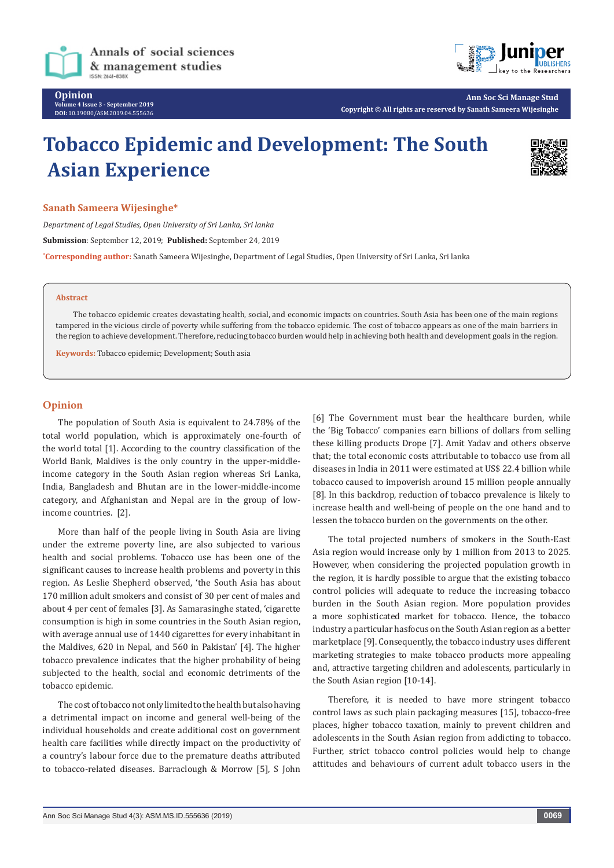



**Ann Soc Sci Manage Stud Copyright © All rights are reserved by Sanath Sameera Wijesinghe**

# **Tobacco Epidemic and Development: The South Asian Experience**



## **Sanath Sameera Wijesinghe\***

*Department of Legal Studies, Open University of Sri Lanka, Sri lanka* **Submission**: September 12, 2019; **Published:** September 24, 2019

**\* Corresponding author:** Sanath Sameera Wijesinghe, Department of Legal Studies, Open University of Sri Lanka, Sri lanka

#### **Abstract**

The tobacco epidemic creates devastating health, social, and economic impacts on countries. South Asia has been one of the main regions tampered in the vicious circle of poverty while suffering from the tobacco epidemic. The cost of tobacco appears as one of the main barriers in the region to achieve development. Therefore, reducing tobacco burden would help in achieving both health and development goals in the region.

**Keywords:** Tobacco epidemic; Development; South asia

## **Opinion**

The population of South Asia is equivalent to 24.78% of the total world population, which is approximately one-fourth of the world total [1]. According to the country classification of the World Bank, Maldives is the only country in the upper-middleincome category in the South Asian region whereas Sri Lanka, India, Bangladesh and Bhutan are in the lower-middle-income category, and Afghanistan and Nepal are in the group of lowincome countries. [2].

More than half of the people living in South Asia are living under the extreme poverty line, are also subjected to various health and social problems. Tobacco use has been one of the significant causes to increase health problems and poverty in this region. As Leslie Shepherd observed, 'the South Asia has about 170 million adult smokers and consist of 30 per cent of males and about 4 per cent of females [3]. As Samarasinghe stated, 'cigarette consumption is high in some countries in the South Asian region, with average annual use of 1440 cigarettes for every inhabitant in the Maldives, 620 in Nepal, and 560 in Pakistan' [4]. The higher tobacco prevalence indicates that the higher probability of being subjected to the health, social and economic detriments of the tobacco epidemic.

The cost of tobacco not only limited to the health but also having a detrimental impact on income and general well-being of the individual households and create additional cost on government health care facilities while directly impact on the productivity of a country's labour force due to the premature deaths attributed to tobacco-related diseases. Barraclough & Morrow [5], S John

[6] The Government must bear the healthcare burden, while the 'Big Tobacco' companies earn billions of dollars from selling these killing products Drope [7]. Amit Yadav and others observe that; the total economic costs attributable to tobacco use from all diseases in India in 2011 were estimated at US\$ 22.4 billion while tobacco caused to impoverish around 15 million people annually [8]. In this backdrop, reduction of tobacco prevalence is likely to increase health and well-being of people on the one hand and to lessen the tobacco burden on the governments on the other.

The total projected numbers of smokers in the South-East Asia region would increase only by 1 million from 2013 to 2025. However, when considering the projected population growth in the region, it is hardly possible to argue that the existing tobacco control policies will adequate to reduce the increasing tobacco burden in the South Asian region. More population provides a more sophisticated market for tobacco. Hence, the tobacco industry a particular hasfocus on the South Asian region as a better marketplace [9]. Consequently, the tobacco industry uses different marketing strategies to make tobacco products more appealing and, attractive targeting children and adolescents, particularly in the South Asian region [10-14].

Therefore, it is needed to have more stringent tobacco control laws as such plain packaging measures [15], tobacco-free places, higher tobacco taxation, mainly to prevent children and adolescents in the South Asian region from addicting to tobacco. Further, strict tobacco control policies would help to change attitudes and behaviours of current adult tobacco users in the